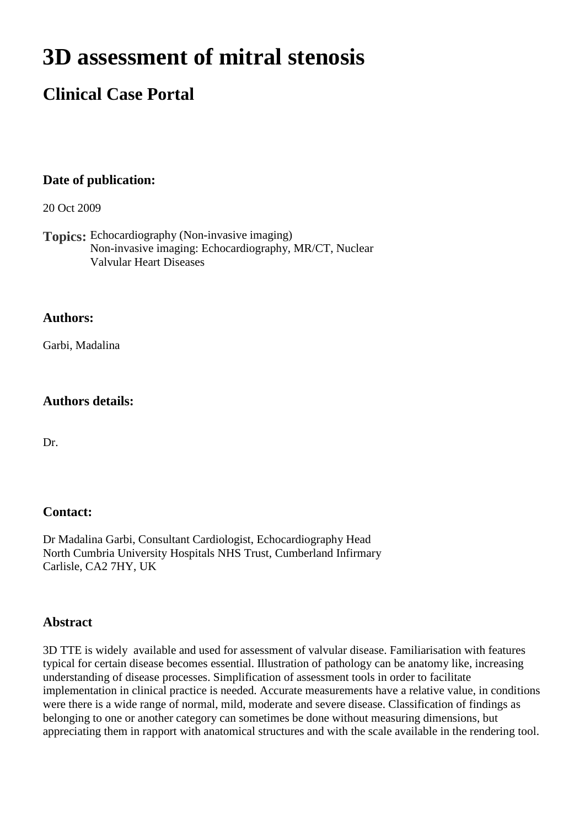# **3D assessment of mitral stenosis**

# **Clinical Case Portal**

## **Date of publication:**

20 Oct 2009

**Topics:** Echocardiography (Non-invasive imaging) Non-invasive imaging: Echocardiography, MR/CT, Nuclear Valvular Heart Diseases

#### **Authors:**

Garbi, Madalina

#### **Authors details:**

Dr.

#### **Contact:**

Dr Madalina Garbi, Consultant Cardiologist, Echocardiography Head North Cumbria University Hospitals NHS Trust, Cumberland Infirmary Carlisle, CA2 7HY, UK

#### **Abstract**

3D TTE is widely available and used for assessment of valvular disease. Familiarisation with features typical for certain disease becomes essential. Illustration of pathology can be anatomy like, increasing understanding of disease processes. Simplification of assessment tools in order to facilitate implementation in clinical practice is needed. Accurate measurements have a relative value, in conditions were there is a wide range of normal, mild, moderate and severe disease. Classification of findings as belonging to one or another category can sometimes be done without measuring dimensions, but appreciating them in rapport with anatomical structures and with the scale available in the rendering tool.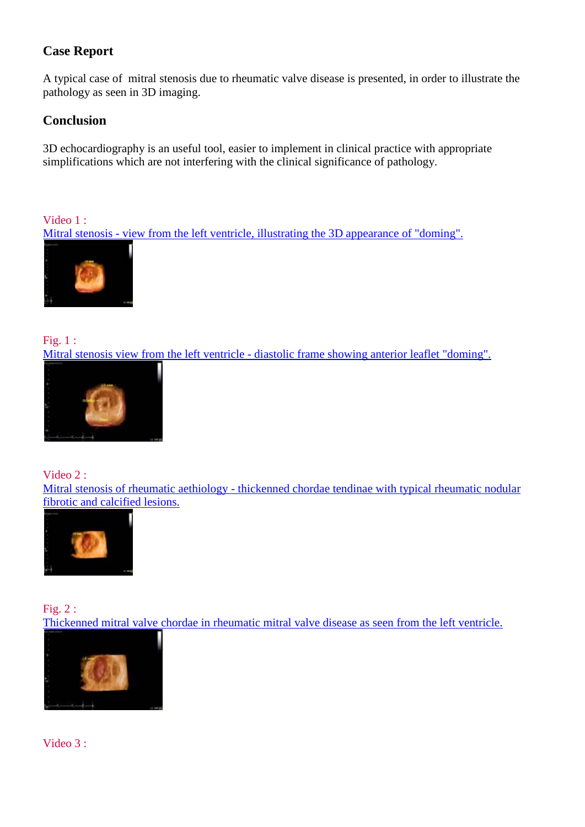# **Case Report**

A typical case of mitral stenosis due to rheumatic valve disease is presented, in order to illustrate the pathology as seen in 3D imaging.

### **Conclusion**

3D echocardiography is an useful tool, easier to implement in clinical practice with appropriate simplifications which are not interfering with the clinical significance of pathology.

Video 1 : [Mitral stenosis - view from the left ventricle, illustrating the 3D appearance of "doming".](http://www.youtube.com/watch?v=ilaHXVoMR7Q)



Fig. 1 : [Mitral stenosis view from the left ventricle - diastolic frame showing anterior leaflet "doming".](http://www.escardio.org/communities/EACVI/CasePortal/EAECasePictures/bf6ca716-2304-4950-8eee-d22cae066dd7/still%20doming.jpg)



Video 2 : [Mitral stenosis of rheumatic aethiology - thickenned chordae tendinae with typical rheumatic nodular](http://www.youtube.com/watch?v=t8uBoyD2JEs)  [fibrotic and calcified lesions.](http://www.youtube.com/watch?v=t8uBoyD2JEs)



Fig. 2 : [Thickenned mitral valve chordae in rheumatic mitral valve disease as seen from the left ventricle.](http://www.escardio.org/communities/EACVI/CasePortal/EAECasePictures/bf6ca716-2304-4950-8eee-d22cae066dd7/thickenned%20chordae.jpg)



Video 3 :